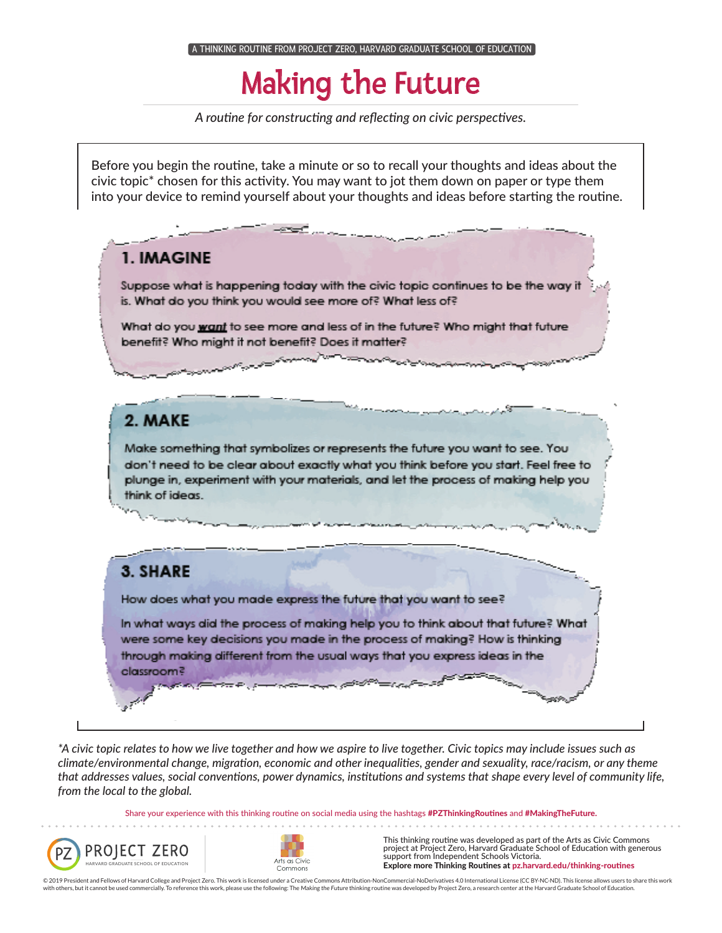### Making the Future

*A routine for constructing and reflecting on civic perspectives.*

Before you begin the routine, take a minute or so to recall your thoughts and ideas about the civic topic\* chosen for this activity. You may want to jot them down on paper or type them into your device to remind yourself about your thoughts and ideas before starting the routine.



*\*A civic topic relates to how we live together and how we aspire to live together. Civic topics may include issues such as climate/environmental change, migration, economic and other inequalities, gender and sexuality, race/racism, or any theme that addresses values, social conventions, power dynamics, institutions and systems that shape every level of community life, from the local to the global.*

Share your experience with this thinking routine on social media using the hashtags #PZThinkingRoutines and #MakingTheFuture.





This thinking routine was developed as part of the Arts as Civic Commons project at Project Zero, Harvard Graduate School of Education with generous support from Independent Schools Victoria. Explore more Thinking Routines at pz.harvard.edu/thinking-routines

© 2019 President and Fellows of Harvard College and Project Zero. This work is licensed under a Creative Commons Attribution-NonCommercial-NoDerivatives 4.0 International License (CC BY-NC-ND). This license allows users to ith others, but it cannot be used commercially. To reference this work, please use the following: The Making the Future thinking routine was developed by Project Zero, a research center at the Harvard Graduate School of Ed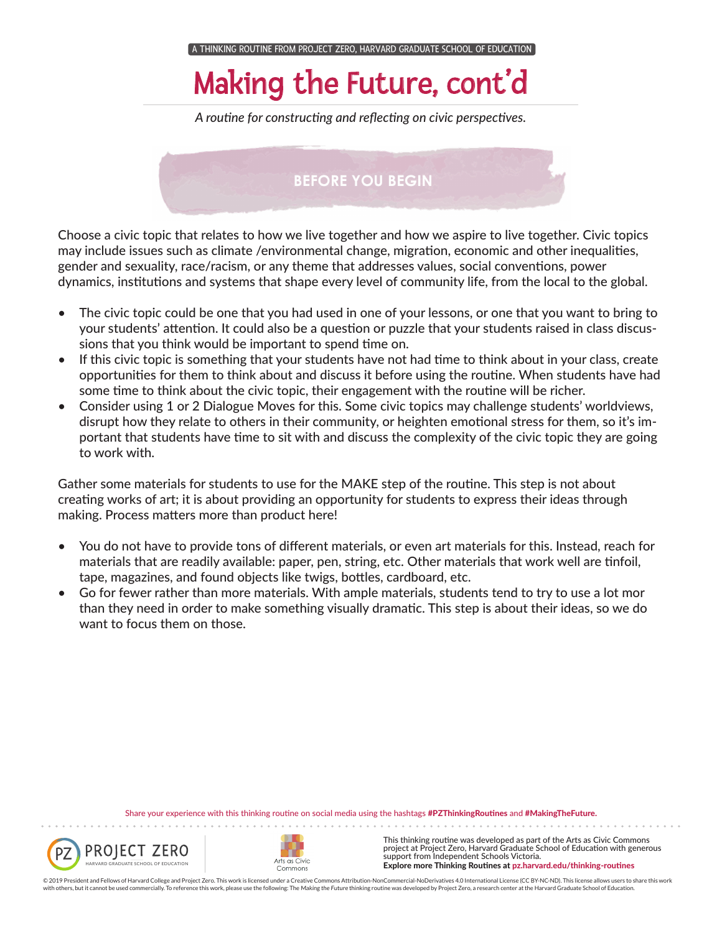# Making the Future, cont'd

*A routine for constructing and reflecting on civic perspectives.*

#### **BEFORE YOU BEGIN**

Choose a civic topic that relates to how we live together and how we aspire to live together. Civic topics may include issues such as climate /environmental change, migration, economic and other inequalities, gender and sexuality, race/racism, or any theme that addresses values, social conventions, power dynamics, institutions and systems that shape every level of community life, from the local to the global.

- The civic topic could be one that you had used in one of your lessons, or one that you want to bring to your students' attention. It could also be a question or puzzle that your students raised in class discussions that you think would be important to spend time on.
- If this civic topic is something that your students have not had time to think about in your class, create opportunities for them to think about and discuss it before using the routine. When students have had some time to think about the civic topic, their engagement with the routine will be richer.
- Consider using 1 or 2 Dialogue Moves for this. Some civic topics may challenge students' worldviews, disrupt how they relate to others in their community, or heighten emotional stress for them, so it's important that students have time to sit with and discuss the complexity of the civic topic they are going to work with.

Gather some materials for students to use for the MAKE step of the routine. This step is not about creating works of art; it is about providing an opportunity for students to express their ideas through making. Process matters more than product here!

- You do not have to provide tons of different materials, or even art materials for this. Instead, reach for materials that are readily available: paper, pen, string, etc. Other materials that work well are tinfoil, tape, magazines, and found objects like twigs, bottles, cardboard, etc.
- Go for fewer rather than more materials. With ample materials, students tend to try to use a lot mor than they need in order to make something visually dramatic. This step is about their ideas, so we do want to focus them on those.

Share your experience with this thinking routine on social media using the hashtags #PZThinkingRoutines and #MakingTheFuture.





. . . . . . . . . .

This thinking routine was developed as part of the Arts as Civic Commons project at Project Zero, Harvard Graduate School of Education with generous support from Independent Schools Victoria. Explore more Thinking Routines at pz.harvard.edu/thinking-routines

© 2019 President and Fellows of Harvard College and Project Zero. This work is licensed under a Creative Commons Attribution-NonCommercial-NoDerivatives 4.0 International License (CC BY-NC-ND). This license allows users to with others, but it cannot be used commercially. To reference this work, please use the following: The Making the Future thinking routine was developed by Project Zero, a research center at the Harvard Graduate School of E